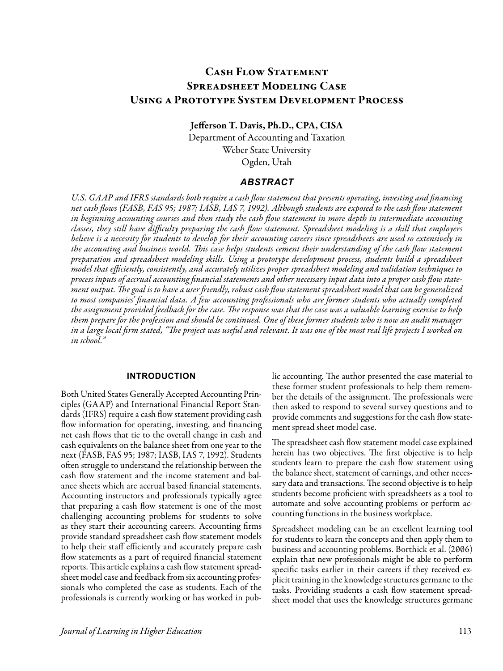# CASH FLOW STATEMENT Spreadsheet Modeling Case Using a Prototype System Development Process

Jefferson T. Davis, Ph.D., CPA, CISA

Department of Accounting and Taxation Weber State University Ogden, Utah

### *ABSTRACT*

*U.S. GAAP and IFRS standards both require a cash flow statement that presents operating, investing and financing net cash flows (FASB, FAS 95; 1987; IASB, IAS 7, 1992). Although students are exposed to the cash flow statement in beginning accounting courses and then study the cash flow statement in more depth in intermediate accounting classes, they still have difficulty preparing the cash flow statement. Spreadsheet modeling is a skill that employers believe is a necessity for students to develop for their accounting careers since spreadsheets are used so extensively in the accounting and business world. This case helps students cement their understanding of the cash flow statement preparation and spreadsheet modeling skills. Using a prototype development process, students build a spreadsheet model that efficiently, consistently, and accurately utilizes proper spreadsheet modeling and validation techniques to process inputs of accrual accounting financial statements and other necessary input data into a proper cash flow statement output. The goal is to have a user friendly, robust cash flow statement spreadsheet model that can be generalized to most companies' financial data. A few accounting professionals who are former students who actually completed the assignment provided feedback for the case. The response was that the case was a valuable learning exercise to help them prepare for the profession and should be continued. One of these former students who is now an audit manager in a large local firm stated, "The project was useful and relevant. It was one of the most real life projects I worked on in school."*

#### **INTRODUCTION**

Both United States Generally Accepted Accounting Principles (GAAP) and International Financial Report Standards (IFRS) require a cash flow statement providing cash flow information for operating, investing, and financing net cash flows that tie to the overall change in cash and cash equivalents on the balance sheet from one year to the next (FASB, FAS 95; 1987; IASB, IAS 7, 1992). Students often struggle to understand the relationship between the cash flow statement and the income statement and balance sheets which are accrual based financial statements. Accounting instructors and professionals typically agree that preparing a cash flow statement is one of the most challenging accounting problems for students to solve as they start their accounting careers. Accounting firms provide standard spreadsheet cash flow statement models to help their staff efficiently and accurately prepare cash flow statements as a part of required financial statement reports. This article explains a cash flow statement spreadsheet model case and feedback from six accounting professionals who completed the case as students. Each of the professionals is currently working or has worked in public accounting. The author presented the case material to these former student professionals to help them remember the details of the assignment. The professionals were then asked to respond to several survey questions and to provide comments and suggestions for the cash flow statement spread sheet model case.

The spreadsheet cash flow statement model case explained herein has two objectives. The first objective is to help students learn to prepare the cash flow statement using the balance sheet, statement of earnings, and other necessary data and transactions. The second objective is to help students become proficient with spreadsheets as a tool to automate and solve accounting problems or perform accounting functions in the business workplace.

Spreadsheet modeling can be an excellent learning tool for students to learn the concepts and then apply them to business and accounting problems. Borthick et al. (2006) explain that new professionals might be able to perform specific tasks earlier in their careers if they received explicit training in the knowledge structures germane to the tasks. Providing students a cash flow statement spreadsheet model that uses the knowledge structures germane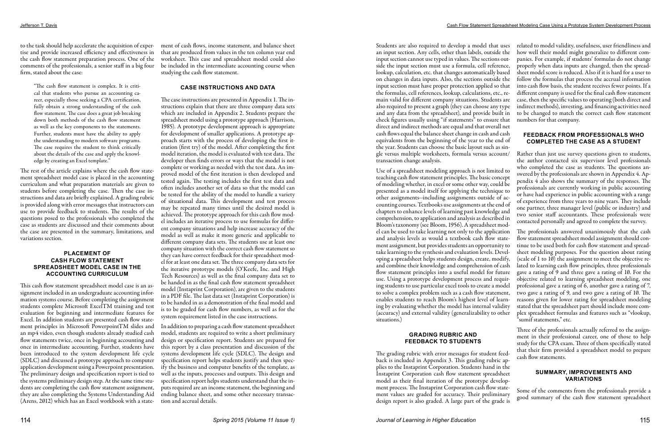the cash flow statement preparation process. One of the comments of the professionals, a senior staff in a big four firm, stated about the case:

"The cash flow statement is complex. It is critical that students who pursue an accounting career, especially those seeking a CPA certification, fully obtain a strong understanding of the cash flow statement. The case does a great job breaking down both methods of the cash flow statement as well as the key components to the statements. Further, students must have the ability to apply the understanding to modern software programs. The case requires the student to think critically about the details of the case and apply the knowledge by creating an Excel template."

The rest of the article explains where the cash flow statement spreadsheet model case is placed in the accounting curriculum and what preparation materials are given to students before completing the case. Then the case instructions and data are briefly explained. A grading rubric is provided along with error messages that instructors can use to provide feedback to students. The results of the questions posed to the professionals who completed the case as students are discussed and their comments about the case are presented in the summary, limitations, and variations section.

to the task should help accelerate the acquisition of exper-ment of cash flows, income statement, and balance sheet tise and provide increased efficiency and effectiveness in that are produced from values in the ten column year end worksheet. This case and spreadsheet model could also be included in the intermediate accounting course when studying the cash flow statement.

#### **PLACEMENT OF CASH FLOW STATEMENT SPREADSHEET MODEL CASE IN THE ACCOUNTING CURRICULUM**

This cash flow statement spreadsheet model case is an assignment included in an undergraduate accounting information systems course. Before completing the assignment students complete Microsoft ExcelTM training and test evaluation for beginning and intermediate features for Excel. In addition students are presented cash flow statement principles in Microsoft PowerpointTM slides and an mp4 video, even though students already studied cash flow statements twice, once in beginning accounting and once in intermediate accounting. Further, students have been introduced to the system development life cycle (SDLC) and discussed a prototype approach to computer application development using a Powerpoint presentation. The preliminary design and specification report is tied to the systems preliminary design step. At the same time students are completing the cash flow statement assignment, they are also completing the Systems Understanding Aid (Arens, 2012) which has an Excel workbook with a state-

#### **CASE INSTRUCTIONS AND DATA**

The case instructions are presented in Appendix 1. The instructions explain that there are three company data sets which are included in Appendix 2. Students prepare the spreadsheet model using a prototype approach (Harrison, 1985). A prototype development approach is appropriate for development of smaller applications. A prototype approach starts with the process of developing the first iteration (first try) of the model. After completing the first model iteration, the model is evaluated with test data. The developer then finds errors or ways that the model is not complete or working as needed with the test data. An improved model of the first iteration is then developed and tested again. The testing includes the first test data and often includes another set of data so that the model can be tested for the ability of the model to handle a variety of situational data. This development and test process may be repeated many times until the desired model is achieved. The prototype approach for this cash flow model includes an iterative process to use formulas for different company situations and help increase accuracy of the model as well as make it more generic and applicable to different company data sets. The students use at least one company situation with the correct cash flow statement so they can have correct feedback for their spreadsheet model for at least one data set. The three company data sets for the iterative prototype models (O'Keefe, Inc. and High Tech Resources) as well as the final company data set to be handed in as the final cash flow statement spreadsheet model (Instaprint Corporation), are given to the students in a PDF file. The last data set (Instaprint Corporation) is to be handed in as a demonstration of the final model and is to be graded for cash flow numbers, as well as for the system requirement listed in the case instructions.

In addition to preparing a cash flow statement spreadsheet model, students are required to write a short preliminary design or specification report. Students are prepared for this report by a class presentation and discussion of the systems development life cycle (SDLC). The design and specification report helps students justify and then specify the business and computer benefits of the template, as well as the inputs, processes and outputs. This design and specification report helps students understand that the inputs required are an income statement, the beginning and ending balance sheet, and some other necessary transaction and accrual details.

Students are also required to develop a model that uses an input section. Any cells, other than labels, outside the input section cannot use typed in values. The sections outside the input section must use a formula, cell reference, lookup, calculation, etc. that changes automatically based on changes in data inputs. Also, the sections outside the input section must have proper protection applied so that the formulas, cell references, lookup, calculations, etc., remain valid for different company situations. Students are also required to present a graph (they can choose any type and any data from the spreadsheet), and provide built in check figures usually using "if statements" to ensure that direct and indirect methods are equal and that overall net cash flows equal the balance sheet change in cash and cash equivalents from the beginning of the year to the end of the year. Students can choose the basic layout such as sinrelated to model validity, usefulness, user friendliness and how well their model might generalize to different companies. For example, if students' formulas do not change properly when data inputs are changed, then the spreadsheet model score is reduced. Also if it is hard for a user to follow the formulas that process the accrual information into cash flow basis, the student receives fewer points. If a different company is used for the final cash flow statement case, then the specific values to operating (both direct and indirect methods), investing, and financing activities need to be changed to match the correct cash flow statement numbers for that company. **FEEDBACK FROM PROFESSIONALS WHO COMPLETED THE CASE AS A STUDENT** Rather than just use survey questions given to students, the author contacted six supervisor level professionals

### **GRADING RUBRIC AND FEEDBACK TO STUDENTS**

gle versus multiple worksheets, formula versus account/ transaction change analysis. Use of a spreadsheet modeling approach is not limited to teaching cash flow statement principles. The basic concept of modeling whether, in excel or some other way, could be presented as a model itself for applying the technique to other assignments--including assignments outside of accounting courses. Textbooks use assignments at the end of chapters to enhance levels of learning past knowledge and comprehension, to application and analysis as described in Bloom's taxonomy (see Bloom, 1956). A spreadsheet model can be used to take learning not only to the application and analysis levels as would a textbook cash flow statement assignment, but provides students an opportunity to take learning to the synthesis and evaluation levels. Developing a spreadsheet helps students design, create, modify, and combine their knowledge and comprehension of cash flow statement principles into a useful model for future use. Using a prototype development process and requiring students to use particular excel tools to create a model to solve a complex problem such as a cash flow statement, enables students to reach Bloom's highest level of learning by evaluating whether the model has internal validity (accuracy) and external validity (generalizability to other situations.) who completed the case as students. The questions answered by the professionals are shown in Appendix 4. Appendix 4 also shows the summary of the responses. The professionals are currently working in public accounting or have had experience in public accounting with a range of experience from three years to nine years. They include one partner, three manager level (public or industry) and two senior staff accountants. These professionals were contacted personally and agreed to complete the survey. The professionals answered unanimously that the cash flow statement spreadsheet model assignment should continue to be used both for cash flow statement and spreadsheet modeling purposes. For the question about rating (scale of 1 to  $10$ ) the assignment to meet the objective related to learning cash flow principles, three professionals gave a rating of 9 and three gave a rating of 10. For the objective related to learning spreadsheet modeling, one professional gave a rating of 6, another gave a rating of 7, two gave a rating of 9, and two gave a rating of 10. The reasons given for lower rating for spreadsheet modeling stated that the spreadsheet part should include more complex spreadsheet formulas and features such as "vlookup, "sumif statements," etc.

The grading rubric with error messages for student feedback is included in Appendix 3. This grading rubric applies to the Instaprint Corporation. Students hand in the Instaprint Corporation cash flow statement spreadsheet model as their final iteration of the prototype development process. The Instaprint Corporation cash flow statement values are graded for accuracy. Their preliminary design report is also graded. A large part of the grade is cash flow statements. **SUMMARY, IMPROVEMENTS AND VARIATIONS** Some of the comments from the professionals provide a good summary of the cash flow statement spreadsheet

Three of the professionals actually referred to the assignment in their professional career, one of those to help study for the CPA exam. Three of them specifically stated that their firm provided a spreadsheet model to prepare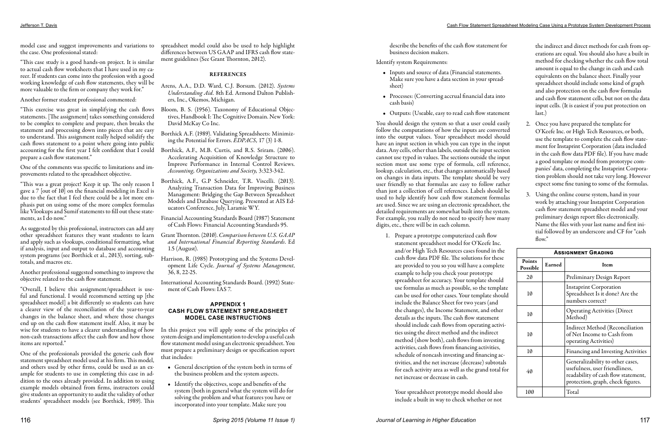the case. One professional stated:

"This case study is a good hands-on project. It is similar to actual cash flow worksheets that I have used in my career. If students can come into the profession with a good working knowledge of cash flow statements, they will be more valuable to the firm or company they work for."

Another former student professional commented:

"This exercise was great in simplifying the cash flows statements. [The assignment] takes something considered to be complex to complete and prepare, then breaks the statement and processing down into pieces that are easy to understand. This assignment really helped solidify the cash flows statement to a point where going into public accounting for the first year I felt confident that I could prepare a cash flow statement."

One of the comments was specific to limitations and improvements related to the spreadsheet objective.

"This was a great project! Keep it up. The only reason I gave a 7 [out of 10] on the financial modeling in Excel is due to the fact that I feel there could be a lot more emphasis put on using some of the more complex formulas like Vlookups and Sumif statements to fill out these statements, as I do now."

model case and suggest improvements and variations to spreadsheet model could also be used to help highlight differences between US GAAP and IFRS cash flow statement guidelines (See Grant Thornton, 2012).

As suggested by this professional, instructors can add any other spreadsheet features they want students to learn and apply such as vlookups, conditional formatting, what if analysis, input and output to database and accounting system programs (see Borthick et al., 2013), sorting, subtotals, and macros etc.

Another professional suggested something to improve the objective related to the cash flow statement.

"Overall, I believe this assignment/spreadsheet is useful and functional. I would recommend setting up [the spreadsheet model] a bit differently so students can have a clearer view of the reconciliation of the year-to-year changes in the balance sheet, and where those changes end up on the cash flow statement itself. Also, it may be wise for students to have a clearer understanding of how non-cash transactions affect the cash flow and how those items are reported."

One of the professionals provided the generic cash flow statement spreadsheet model used at his firm. This model, and others used by other firms, could be used as an example for students to use in completing this case in addition to the ones already provided. In addition to using example models obtained from firms, instructors could give students an opportunity to audit the validity of other students' spreadsheet models (see Borthick, 1989). This

### REFERENCES

Arens, A.A., D.D. Ward, C.J. Borsum. (2012). *Systems Understanding Aid.* 8th Ed. Armond Dalton Publishers, Inc., Okemos, Michigan.

- Bloom, B. S. (1956). Taxonomy of Educational Objectives, Handbook I: The Cognitive Domain. New York: David McKay Co Inc.
- Borthick A.F. (1989). Validating Spreadsheets: Minimizing the Potential for Errors. *EDPACS,* 17 (3) 1-8*.*
- Borthick, A.F., M.B. Curtis, and R.S. Sriram. (2006). Accelerating Acquisition of Knowledge Structure to Improve Performance in Internal Control Reviews. *Accounting, Organizations and Society,* 3:323-342.
- Borthick, A.F., G.P Schneider, T.R. Viscelli. (2013). Analyzing Transaction Data for Improving Business Management: Bridging the Gap Between Spreadsheet Models and Database Querying. Presented at AIS Educators Conference, July, Laramie WY.

Financial Accounting Standards Board (1987) Statement of Cash Flows: Financial Accounting Standards 95.

Grant Thornton. (2010). *Comparison between U.S. GAAP and International Financial Reporting Standards*. Ed 1.5 (August).

Harrison, R. (1985) Prototyping and the Systems Development Life Cycle. *Journal of Systems Management*, 36, 8, 22-25.

International Accounting Standards Board. (1992) Statement of Cash Flows: IAS 7.

#### **APPENDIX 1 CASH FLOW STATEMENT SPREADSHEET MODEL CASE INSTRUCTIONS**

In this project you will apply some of the principles of system design and implementation to develop a useful cash flow statement model using an electronic spreadsheet. You must prepare a preliminary design or specification report that includes:

- General description of the system both in terms of the business problem and the system aspects.
- Identify the objectives, scope and benefits of the system (both in general what the system will do for solving the problem and what features you have or incorporated into your template. Make sure you

describe the benefits of the cash flow statement for business decision makers.

### Identify system Requirements:

- Inputs and source of data (Financial statements. Make sure you have a data section in your spreadsheet)
- Processes: (Converting accrual financial data into cash basis)
- Outputs: (Useable, easy to read cash flow statement

You should design the system so that a user could easily follow the computations of how the inputs are converted into the output values. Your spreadsheet model should have an input section in which you can type in the input data. Any cells, other than labels, outside the input section cannot use typed in values. The sections outside the input section must use some type of formula, cell reference, lookup, calculation, etc., that changes automatically based on changes in data inputs. The template should be very user friendly so that formulas are easy to follow rather than just a collection of cell references. Labels should be used to help identify how cash flow statement formulas are used. Since we are using an electronic spreadsheet, the detailed requirements are somewhat built into the system. For example, you really do not need to specify how many digits, etc., there will be in each column.

1. Prepare a prototype computerized cash flow statement spreadsheet model for O'Keefe Inc. and/or High Tech Resources cases found in the cash flow data PDF file. The solutions for these are provided to you so you will have a complete example to help you check your prototype spreadsheet for accuracy. Your template should use formulas as much as possible, so the template can be used for other cases. Your template should include the Balance Sheet for two years (and the changes), the Income Statement, and other details as the inputs. The cash flow statement should include cash flows from operating activities using the direct method and the indirect method (show both), cash flows from investing activities, cash flows from financing activities, schedule of noncash investing and financing activities, and the net increase (decrease) subtotals for each activity area as well as the grand total for net increase or decrease in cash.

Your spreadsheet prototype model should also include a built in way to check whether or not

the indirect and direct methods for cash from operations are equal. You should also have a built in method for checking whether the cash flow total amount is equal to the change in cash and cash equivalents on the balance sheet. Finally your spreadsheet should include some kind of graph and also protection on the cash flow formulas and cash flow statement cells, but not on the data input cells. (It is easiest if you put protection on last.)

- 2. Once you have prepared the template for O'Keefe Inc. or High Tech Resources, or both, use the template to complete the cash flow statement for Instaprint Corporation (data included in the cash flow data PDF file). If you have made a good template or model from prototype companies' data, completing the Instaprint Corporation problem should not take very long. However expect some fine tuning to some of the formulas.
- 3. Using the online course system, hand in your work by attaching your Instaprint Corporation cash flow statement spreadsheet model and your preliminary design report files electronically. Name the files with your last name and first initial followed by an underscore and CF for "cash flow."

| <b>ASSIGNMENT GRADING</b> |        |                                                                                                                                                |  |  |  |  |  |  |  |
|---------------------------|--------|------------------------------------------------------------------------------------------------------------------------------------------------|--|--|--|--|--|--|--|
| <b>Points</b><br>Possible | Earned | Item                                                                                                                                           |  |  |  |  |  |  |  |
| 20                        |        | Preliminary Design Report                                                                                                                      |  |  |  |  |  |  |  |
| 10                        |        | <b>Instaprint Corporation</b><br>Spreadsheet Is it done? Are the<br>numbers correct?                                                           |  |  |  |  |  |  |  |
| 10                        |        | <b>Operating Activities (Direct</b><br>Method)                                                                                                 |  |  |  |  |  |  |  |
| 10                        |        | Indirect Method (Reconciliation<br>of Net Income to Cash from<br>operating Activities)                                                         |  |  |  |  |  |  |  |
| 10                        |        | Financing and Investing Activities                                                                                                             |  |  |  |  |  |  |  |
| 40                        |        | Generalizability to other cases,<br>usefulness, user friendliness,<br>readability of cash flow statement,<br>protection, graph, check figures. |  |  |  |  |  |  |  |
| 100                       |        | Total                                                                                                                                          |  |  |  |  |  |  |  |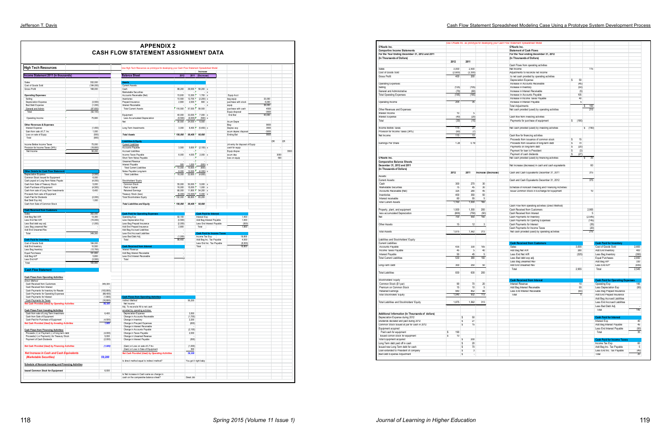### Jefferson T. Davis Cash Flow Statement Spreadsheet Modeling Case Using a Prototype System Development Process

|                                                                                    |                      |                     | <b>APPENDIX 2</b><br><b>CASH FLOW STATEMENT ASSIGNMENT DATA</b>                                |                     |                    |                          |                                                       |                                           |                 |      |      |
|------------------------------------------------------------------------------------|----------------------|---------------------|------------------------------------------------------------------------------------------------|---------------------|--------------------|--------------------------|-------------------------------------------------------|-------------------------------------------|-----------------|------|------|
| <b>High Tech Resources</b>                                                         |                      |                     | Use High Tech Resources as prototype for developing your Cash Flow Statement Spreadsheet Model |                     |                    |                          |                                                       |                                           |                 |      |      |
| Income Statement 2011 (in thousands)                                               |                      |                     | <b>Balance Sheet</b>                                                                           | 2012                | 2011               | Increase<br>(Decrease)   |                                                       |                                           |                 |      |      |
| Sales                                                                              | 352,000              |                     |                                                                                                |                     |                    |                          |                                                       |                                           |                 |      |      |
| Cost of Goods Sold                                                                 | (184, 000)           |                     | <b>Assets</b><br><b>Current Assets</b>                                                         |                     |                    |                          |                                                       |                                           |                 |      |      |
| <b>Gross Profit</b>                                                                | 168,000              |                     | Cash                                                                                           | 88,200              | 29,000             | 59,200 x                 |                                                       |                                           |                 |      |      |
| <b>Operating Expenses:</b>                                                         |                      |                     | Marketable Securities<br>Accounts Receivable (Net)                                             | 15,000              | 13,300             | $1,700 \times$           | $- x$                                                 | Equip Acct                                |                 |      |      |
| Selling                                                                            |                      |                     | Inventories                                                                                    | 10,500              | 12,700             | $(2,200)$ x              |                                                       | beg equip                                 | 33,000          |      |      |
| Depreciation Expense                                                               | (3,500)              |                     | Prepaid Insurance                                                                              | 2,800               | 2,000              | 800 x                    |                                                       | purchase with stock                       | 6,000           |      |      |
| <b>Bad Debt Expense</b><br>General and Admin                                       | (1,000)<br>(87, 600) |                     | Interest Receivable<br><b>Total Current Assets</b>                                             | 116,500             | 57,000             | 59.500                   | $- x$                                                 | equip<br>purchase with cash               | 39,000<br>4500  |      |      |
| Total                                                                              | (92, 100)            |                     |                                                                                                |                     |                    |                          |                                                       | Equip disposal                            | $-3500$         |      |      |
|                                                                                    |                      |                     | Equipment                                                                                      | 40,000              | 33,000             | $7,000 \times$           |                                                       | End Bal                                   | 40,000          |      |      |
| Operating Income                                                                   | 75,900               |                     | Less Accumulated Depreciation<br>Net                                                           | (9,500)<br>30,500   | (9,000)<br>24,000  | (500) x<br>6,500         |                                                       | Acum Depre                                |                 |      |      |
| <b>Other Revenues &amp; Expenses</b>                                               |                      |                     |                                                                                                |                     |                    |                          |                                                       | Beg                                       | 9000            |      |      |
| Interest Expense                                                                   | (1,400)              |                     | Long Term Investments                                                                          | 3,000               | 8,400              | $(5,400)$ x              |                                                       | Deprec exp                                | 3500            |      |      |
| Gain from sale of LT. Inv.<br>Loss on sale of Equip.                               | 1,000<br>(500)       |                     | <b>Total Assets</b>                                                                            | 150,000             | 89,400             | 60,600                   |                                                       | acum deprec disposal<br><b>Ending Bal</b> | $-3000$<br>9500 |      |      |
| Total                                                                              | (900)                |                     |                                                                                                |                     |                    |                          |                                                       |                                           |                 |      |      |
|                                                                                    |                      |                     | <b>Liabilities &amp; Equity</b>                                                                |                     |                    |                          |                                                       |                                           |                 | DR   | CR   |
| Income Before Income Taxes                                                         | 75,000               |                     | <b>Current Liabilities</b>                                                                     |                     |                    |                          |                                                       | Jnl entry for disposal of Equip           |                 |      |      |
| Provision for Income Taxes (34%)<br>Net Income                                     | (18, 800)<br>56,200  |                     | Accounts Payable<br><b>Accrued Liabilities</b>                                                 | 3,500               | 5,600              | $(2, 100)$ >             |                                                       | cash for equip<br>Equip dispse            |                 |      | 3500 |
|                                                                                    |                      |                     | Income Taxes Payable                                                                           | 6,000               | 4,000              | $2,000 \times$           |                                                       | acum dep                                  |                 | 3000 |      |
|                                                                                    |                      |                     | Short Term Notes Payable                                                                       |                     |                    |                          |                                                       | loss on equip                             |                 | 500  |      |
|                                                                                    |                      |                     | <b>Unearned Revenue</b><br>Interest Payable                                                    |                     |                    | ÷.                       |                                                       |                                           |                 |      |      |
|                                                                                    |                      |                     | <b>Total Current Liabilities</b>                                                               | 500<br>10,000       | 1,000<br>10,600    | (500) x<br>(600)         |                                                       |                                           |                 |      |      |
| <b>Other Details for Cash Flow Statement</b>                                       |                      |                     | Notes Payable Long-term                                                                        | 8,000               | 12,000             | $(4,000)$ x              |                                                       |                                           |                 |      |      |
| <b>Depreciation Expense</b>                                                        | (3,500)              |                     | <b>Total Liabilities</b>                                                                       | 18,000              | 22,600             | (4,600)                  |                                                       |                                           |                 |      |      |
| Common Stock Issued for Equipment<br>Cash payed on Long-Term Notes Payale          | 6,000<br>(4,000)     |                     | Stockholders' Equity                                                                           |                     |                    |                          |                                                       |                                           |                 |      |      |
| Cash from Sale of Treasury Stock                                                   | 5,000                |                     | Common Stock                                                                                   | 55,000              | 50,000             | 5,000                    |                                                       |                                           |                 |      |      |
| Cash Purchase of Equipment                                                         | (4, 500)             |                     | Paid in Capital                                                                                | 16,000              | 15,000             | $1,000 \times$           |                                                       |                                           |                 |      |      |
| Cash from sale of Long Term Investments<br>Proceeds from sale of Equipment         | 6,400                |                     | <b>Retained Earnings</b><br>Treasury Stock (less)                                              | 66,000              | 11,800<br>(10,000) | 54,200 x                 |                                                       |                                           |                 |      |      |
| Cash Paid for Dividends                                                            | (2,000)              |                     | <b>Total Stockholders Equity</b>                                                               | (5,000)<br>132,000  | 66,800             | $5,000 \times$<br>65,200 |                                                       |                                           |                 |      |      |
| Bad Debt Exp Adi                                                                   | 1,000                |                     |                                                                                                |                     |                    |                          |                                                       |                                           |                 |      |      |
| Cash from Sale of Common Stock                                                     |                      |                     | <b>Total Liabilities and Equity</b>                                                            | 150,000             | 89,400             | 60,600                   |                                                       |                                           |                 |      |      |
| <b>Cash Received from Customers</b>                                                |                      |                     |                                                                                                |                     |                    |                          |                                                       |                                           |                 |      |      |
| Sales                                                                              | 352,000              |                     | <b>Cash Paid for Operating Expenses</b>                                                        |                     |                    |                          | <b>Cash Paid for Interest</b>                         |                                           |                 |      |      |
| Add Beg Net A/R                                                                    | 13,300               |                     | Operating Exp                                                                                  | 92,100              |                    | Interest Exp             |                                                       | 1.400                                     |                 |      |      |
| Less End Net A/R<br>Less Bad debt exp adj.                                         | (15,000)<br>(1,000)  |                     | Less Depreciation Exp<br>Less Beg Prepaid Insurance                                            | (3, 500)<br>(2,000) |                    |                          | Add Beg Interest Payable<br>Less End Interest Payable | 1.000<br>(500)                            |                 |      |      |
| Less Beg uneamed Rev                                                               |                      |                     | Add End Prepaid Insurance                                                                      | 2,800               |                    | Total                    |                                                       | 1,900                                     |                 |      |      |
| Add End Uneamed Rev                                                                |                      |                     | Add Beg Accrued Liabilities                                                                    |                     |                    |                          |                                                       |                                           |                 |      |      |
| Total                                                                              | 349,300              |                     | Less End Accrued Liabilities<br>Less Bad Debt Adj.                                             |                     |                    | Income Tax Exp           | <b>Cash Paid for Income Taxes</b>                     | 18,800                                    |                 |      |      |
| <b>Cash Paid for Inventory</b>                                                     |                      |                     | Total                                                                                          | (1,000)<br>88,400   |                    |                          | Add Beg Inc. Tax Payable                              | 4,000                                     |                 |      |      |
| Cost of Goods Sold                                                                 | 184.000              |                     |                                                                                                |                     |                    |                          | Less End Inc. Tax Payable                             | (6,000)                                   |                 |      |      |
| Add End Inventory                                                                  | 10,500<br>(12, 700)  |                     | <b>Cash Received from Interest</b><br><b>Interest Revenue</b>                                  |                     |                    | Total                    |                                                       | 16,800                                    |                 |      |      |
| Less Beg Inventory<br>Equal Purchases                                              | 181,800              |                     | Add Beg Interest Receivable                                                                    |                     |                    |                          |                                                       |                                           |                 |      |      |
| Add Beg A/P                                                                        | 5,600                |                     |                                                                                                |                     |                    |                          |                                                       |                                           |                 |      |      |
| Less End A/P                                                                       |                      |                     | Less End Interest Receivable                                                                   | $\cdot$             |                    |                          |                                                       |                                           |                 |      |      |
| Total                                                                              | (3,500)              |                     | Total                                                                                          |                     |                    |                          |                                                       |                                           |                 |      |      |
|                                                                                    | 183,900              |                     |                                                                                                |                     |                    |                          |                                                       |                                           |                 |      |      |
| <b>Cash Flow Statement</b>                                                         |                      |                     |                                                                                                |                     |                    |                          |                                                       |                                           |                 |      |      |
|                                                                                    |                      |                     |                                                                                                |                     |                    |                          |                                                       |                                           |                 |      |      |
| <b>Cash Flows from Operating Activities</b>                                        |                      |                     |                                                                                                |                     |                    |                          |                                                       |                                           |                 |      |      |
| Direct Method:                                                                     |                      |                     |                                                                                                |                     |                    |                          |                                                       |                                           |                 |      |      |
| Cash Received from Customers<br>Cash Received from Interest                        |                      | 349,300             |                                                                                                |                     |                    |                          |                                                       |                                           |                 |      |      |
| Cash Payments for Inventory for Resale                                             |                      | (183.900)           |                                                                                                |                     |                    |                          |                                                       |                                           |                 |      |      |
| Cash Payments for Operating Expenses                                               |                      | (88, 400)           |                                                                                                |                     |                    |                          |                                                       |                                           |                 |      |      |
| Cash Payments for Interest                                                         |                      | (1,900)             | <b>Cash Flows from Operating Activities</b><br>Indirect Method:                                |                     | 56,200             |                          |                                                       |                                           |                 |      |      |
| Cash Payments for Taxes<br><b>Net Cash Provided (Used) by Operating Activities</b> |                      | (16, 800)<br>58,300 | Net Income                                                                                     |                     |                    |                          |                                                       |                                           |                 |      |      |
|                                                                                    |                      |                     | Adj. To reconcile NI to net cash                                                               |                     |                    |                          |                                                       |                                           |                 |      |      |
| <b>Cash Flows From Investing Activities:</b>                                       |                      |                     | provided by operating activites:                                                               |                     |                    |                          |                                                       |                                           |                 |      |      |
| Cash from sale of Long Term Investment<br>Cash from Sale of Equipment              |                      | 6,400               | Depreciation Expense<br>Change in Accounts Receivable                                          |                     | 3.500<br>(1,700)   |                          |                                                       |                                           |                 |      |      |
| Cash Paid for Purchase of Equipment                                                |                      | (4,500)             | Change in Inventory                                                                            |                     | 2,200              |                          |                                                       |                                           |                 |      |      |
| Net Cash Provided (Used) by Investing Activities                                   |                      | 1,900               | Change in Pre-paid Expenses                                                                    |                     | (800)              |                          |                                                       |                                           |                 |      |      |
| <b>Cash Flows from Financing Activities:</b>                                       |                      |                     | Change in Interest Receivable<br>Change in Accounts Payable                                    |                     | (2, 100)           |                          |                                                       |                                           |                 |      |      |
| Proceeds (+) or Payment (-) of long term debt                                      |                      | (4,000)             | Change in Taxes Payable                                                                        |                     | 2,000              |                          |                                                       |                                           |                 |      |      |
| Proceeds(+) or Payment(-) for Treasury Stock                                       |                      | 5,000               | Change in Unearned Revenue                                                                     |                     |                    |                          |                                                       |                                           |                 |      |      |
| Payment of Cash Dividends                                                          |                      | (2,000)             | Change in Interest Payable                                                                     |                     | (500)              |                          |                                                       |                                           |                 |      |      |
| <b>Net Cash Provided (Used) by Financing Activities</b>                            |                      | (1,000)             | (Gain) or Loss on sale of LT Inv.                                                              |                     | (1,000)            |                          |                                                       |                                           |                 |      |      |
|                                                                                    |                      |                     | (Gain) or Loss in Sale of Equipment                                                            |                     | 500                |                          |                                                       |                                           |                 |      |      |
| <b>Net Increase in Cash and Cash Equivalents</b>                                   |                      |                     | Net Cash Provided (Used) by Operating Activities                                               |                     | 58,300             |                          |                                                       |                                           |                 |      |      |
| (Marketable Securities)                                                            |                      | 59,200              |                                                                                                |                     |                    |                          |                                                       |                                           |                 |      |      |
|                                                                                    |                      |                     | Is direct method equal to indirect method?                                                     |                     |                    | You got it right baby    |                                                       |                                           |                 |      |      |
| <b>Schedule of Noncash Investing and Financing Activities</b>                      |                      |                     |                                                                                                |                     |                    |                          |                                                       |                                           |                 |      |      |
| <b>Issued Common Stock for Equipment</b>                                           |                      | 6,000               |                                                                                                |                     |                    |                          |                                                       |                                           |                 |      |      |
|                                                                                    |                      |                     | Is Net increase in Cash same as change in<br>cash on the camparative balance sheet?            |                     | Great Job          |                          |                                                       |                                           |                 |      |      |

|                                                   |                    |                         |      |                     | Use O'Keefe Inc. as prototype for developing your Cash Flow Statement Spreadsheet Model |              |          |                                    |
|---------------------------------------------------|--------------------|-------------------------|------|---------------------|-----------------------------------------------------------------------------------------|--------------|----------|------------------------------------|
| O'Keefe Inc.                                      |                    |                         |      |                     | O'Keefe Inc.                                                                            |              |          |                                    |
| <b>Compartive Income Statements</b>               |                    |                         |      |                     | <b>Statement of Cash Flows</b>                                                          |              |          |                                    |
| For the Year Ending December 31, 2012 and 2011    |                    |                         |      |                     | For the Year ending December 31, 2012                                                   |              |          |                                    |
|                                                   |                    |                         |      |                     |                                                                                         |              |          |                                    |
| (In Thoursands of Dollars)                        |                    |                         |      |                     | (In Thoursands of Dollars)                                                              |              |          |                                    |
|                                                   | 2012               | 2011                    |      |                     |                                                                                         |              |          |                                    |
|                                                   |                    |                         |      |                     | Cash Flows from operating activities                                                    |              |          |                                    |
| Sales                                             | 3,000              | 2,500                   |      |                     | Net Income                                                                              |              | 115      |                                    |
| Cost of Goods Sold                                | (2,600)            | (2, 300)                |      |                     | Adjustments to reconcle net income                                                      |              |          |                                    |
| Gross Profit                                      | 400                | 200                     |      |                     | to net cash provided by operating activities                                            |              |          |                                    |
|                                                   |                    |                         |      |                     | Depreciation Expense                                                                    | \$<br>50     |          |                                    |
|                                                   |                    |                         |      |                     |                                                                                         |              |          |                                    |
| Operating Expenses:                               |                    |                         |      |                     | Increase in Accounts Receivable                                                         | (45)         |          |                                    |
| Selling                                           | (125)              | (105)                   |      |                     | Increase in Inventory                                                                   | (50)         |          |                                    |
| General and Administrative                        | (70)               | (60)                    |      |                     | Increase in Interest Receivable                                                         | (5)          |          |                                    |
| <b>Total Operating Expenses</b>                   | (195)              | (165)                   |      |                     | Increase in Accounts Payable                                                            | 105          |          |                                    |
|                                                   |                    |                         |      |                     | Increase in Income Taxes Payable                                                        | 40           |          |                                    |
| Operating Income                                  | 205                | 35                      |      |                     | Increase in Interest Payable                                                            | 5            |          |                                    |
|                                                   |                    |                         |      |                     | <b>Total Adjustments</b>                                                                |              | 100<br>s |                                    |
|                                                   |                    |                         |      |                     |                                                                                         |              |          |                                    |
| Other Revenues and Expenses:                      |                    |                         |      |                     | Net cash provided (used) by operating activities                                        |              | 215      |                                    |
| Interest Income                                   | 10                 | 5                       |      |                     |                                                                                         |              |          |                                    |
| Interest Expense                                  | (40)               | (20)                    |      |                     | Cash flow from investing activities                                                     |              |          |                                    |
| Total                                             | (30)               | (15)                    |      |                     | Payments for purchase of equipment                                                      | \$.<br>(190) |          |                                    |
|                                                   |                    |                         |      |                     |                                                                                         |              |          |                                    |
| Income Before Taxes                               | 175                | 20                      |      |                     | Net cash provided (used) by investing activities                                        |              | \$ (190) |                                    |
| Provision for Income Taxes (34%)                  | (60)               | (7)                     |      |                     |                                                                                         |              |          |                                    |
|                                                   |                    |                         |      |                     |                                                                                         |              |          |                                    |
| Net Income                                        | 115                | 13                      |      |                     | Cash flow for financing activities                                                      |              |          |                                    |
|                                                   |                    |                         |      |                     | Proceeds from issuance of common stock                                                  | 15<br>s      |          |                                    |
| Eamings Per Share                                 | 1.28               | 0.19                    |      |                     | Proceeds from issuance of long-term debt                                                | s<br>70      |          |                                    |
|                                                   |                    |                         |      |                     | Payments on long-term debt                                                              | s<br>(20)    |          |                                    |
|                                                   |                    |                         |      |                     | Payment for loan to President                                                           | \$<br>(3)    |          |                                    |
|                                                   |                    |                         |      |                     |                                                                                         |              |          |                                    |
|                                                   |                    |                         |      |                     | Payment of cash dividends                                                               | \$<br>(27)   |          |                                    |
| O'Keefe Inc.                                      |                    |                         |      |                     | Net cash provided (used) by financing activities                                        |              | 35<br>\$ |                                    |
| <b>Comparative Balance Sheets</b>                 |                    |                         |      |                     |                                                                                         |              |          |                                    |
| December 31, 2012 and 2011                        |                    |                         |      |                     | Net increase (decrease) in cash and cash equivalents                                    |              | 60       |                                    |
| (In Thousands of Dollars)                         |                    |                         |      |                     |                                                                                         |              |          |                                    |
|                                                   | 2012               | 2011                    |      | Increase (Decrease) | Cash and Cash Equivalents December 31, 2011                                             |              | 315      |                                    |
| Assets:                                           |                    |                         |      |                     |                                                                                         |              |          |                                    |
|                                                   |                    |                         |      |                     |                                                                                         |              |          |                                    |
| Current Assets:                                   |                    |                         |      |                     | Cash and Cash Equivalents December 31, 2012                                             |              | 375      |                                    |
| Cash                                              | 300                | 270                     | 30   |                     |                                                                                         |              |          |                                    |
| Marketable Securities                             | 75                 | 45                      | 30   |                     | Schedule of noncash Investing and Financing Activities:                                 |              |          |                                    |
| Accounts Receivable (Net)                         | 325                | 280                     | 45   |                     | Issue Common Stock in Exchange for Equipment                                            |              | 10       |                                    |
| Inventories                                       | 400                | 350                     | 50   |                     |                                                                                         |              |          |                                    |
| Interest receivable                               | 60                 |                         |      |                     |                                                                                         |              |          |                                    |
|                                                   |                    | 55                      | 5    |                     |                                                                                         |              |          |                                    |
| <b>Total Current Assets</b>                       | 1,160              | 1,000                   | 160  |                     |                                                                                         |              |          |                                    |
|                                                   |                    |                         |      |                     | Cash Flow from operating activities (Direct Method)                                     |              |          |                                    |
| Property, plant, and equipment                    | 1,500              | 1,300                   | 200  |                     | Cash Received from Customers                                                            |              | 2,955    |                                    |
| less accumulated Depreciation                     | (800)              | (750)                   | (50) |                     | Cash Received from Interest                                                             |              | 5        |                                    |
| Net                                               | 700                | 550                     | 150  |                     | Cash Payments for Inventory                                                             |              | (2, 545) |                                    |
|                                                   |                    |                         |      |                     |                                                                                         |              |          |                                    |
|                                                   |                    |                         |      |                     | Cash Payments for Operting Expenses                                                     |              | (145)    |                                    |
| <b>Other Assets</b>                               | 15                 | 12                      | 3    |                     | Cash Payments for Interest                                                              |              | (35)     |                                    |
|                                                   |                    |                         |      |                     | Cash Payments for Income Taxes                                                          |              | (20)     |                                    |
| <b>Total Assets</b>                               | 1,875              | 1,562                   | 313  |                     | Net cash provided (used) by operating activities                                        |              | 215      |                                    |
|                                                   |                    |                         |      |                     |                                                                                         |              |          |                                    |
|                                                   |                    |                         |      |                     |                                                                                         |              |          |                                    |
| Liabilities and Stockholders' Equity              |                    |                         |      |                     |                                                                                         |              |          |                                    |
| <b>Current Liabilities:</b>                       |                    |                         |      |                     | <b>Cash Received from Customers</b>                                                     |              |          | <b>Cash Paid for Inventory</b>     |
| Accounts Payable                                  | 435                | 330                     | 105  |                     | <b>Sales</b>                                                                            | 3,000        |          | Cost of Goods Sold                 |
| Income Taxes Payable                              | 45                 | 5                       | 40   |                     | Add Beg Net A/R                                                                         | 280          |          | Add End Inventory                  |
| Interest Payable                                  | 50                 | 45                      | 5    |                     | Less End Net A/R                                                                        | (325)        |          | Less Beg Inventory                 |
| <b>Total Current Liabilities</b>                  | 530                | 380                     | 150  |                     | Less Bad debt exp adj.                                                                  |              |          | Equal Purchases                    |
|                                                   |                    |                         |      |                     |                                                                                         |              |          |                                    |
|                                                   |                    |                         |      |                     | Less Beg unearned Rev                                                                   |              |          | Add Beg A/P                        |
| Long-Term Debt                                    | 300                | 250                     | 50   |                     | Add End Uneamed Rev                                                                     |              |          | Less End A/P                       |
|                                                   |                    |                         |      |                     | Total                                                                                   | 2,955        |          | Total                              |
| <b>Total Liabilities</b>                          | 830                | 630                     | 200  |                     |                                                                                         |              |          |                                    |
|                                                   |                    |                         |      |                     |                                                                                         |              |          |                                    |
|                                                   |                    |                         |      |                     |                                                                                         |              |          | <b>Cash Paid for Operating E</b>   |
| Stockholders' Equity                              |                    |                         |      |                     | <b>Cash Received from Interest</b>                                                      |              |          |                                    |
| Common Stock (\$1 par)                            | 90                 | 70                      | 20   |                     | <b>Interest Revenue</b>                                                                 | 10           |          | Operating Exp                      |
| Premium on Common Stock                           | 15                 | 10                      | 5    |                     | Add Beg Interest Receivable                                                             | 55           |          | Less Depreciation Exp              |
| <b>Retained Earnings</b>                          | 940                | 852                     | 88   |                     | Less End Interest Receivable                                                            | (60)         |          | Less Beg Prepaid Insurance         |
| Total Stockholers' Equity                         | CPU, I             | 932                     | 115  |                     | тота                                                                                    |              |          | Add End Prepaid Insurance          |
|                                                   |                    |                         |      |                     |                                                                                         |              |          | Add Beg Accrued Liabilities        |
|                                                   |                    |                         |      |                     |                                                                                         |              |          |                                    |
| Total Liabilities and Stockholders' Equity        | 1,875              | 1,562                   | 313  |                     |                                                                                         |              |          | Less End Accrued Liabilities       |
|                                                   |                    |                         |      |                     |                                                                                         |              |          | Less Bad Debt Adj.                 |
|                                                   |                    |                         |      |                     |                                                                                         |              |          | Total                              |
| Additional Information (In Thoursands of dollars) |                    |                         |      |                     |                                                                                         |              |          |                                    |
| Depreciation Expense during 2012                  |                    | \$<br>50                |      |                     |                                                                                         |              |          | <b>Cash Paid for Interest</b>      |
|                                                   |                    |                         |      |                     |                                                                                         |              |          |                                    |
| Dividends declared and paid during 2012           |                    | \$<br>27                |      |                     |                                                                                         |              |          | Interest Exp                       |
| Common Stock Issued at par for cash in 2012       |                    | 15<br>\$                |      |                     |                                                                                         |              |          | Add Beg Interest Payable           |
| Equipment acquired                                |                    |                         |      |                     |                                                                                         |              |          | Less End Interest Payable          |
| Paid cash for equipment                           | s<br>190           |                         |      |                     |                                                                                         |              |          | Total                              |
| Issued comon stock for equipment                  | $\mathbb{S}$<br>10 |                         |      |                     |                                                                                         |              |          |                                    |
|                                                   |                    |                         |      |                     |                                                                                         |              |          |                                    |
| <b>Total Equipment acquired</b>                   |                    | \$<br>200               |      |                     |                                                                                         |              |          | <b>Cash Paid for Income Tax</b>    |
|                                                   |                    | \$<br>20                |      |                     |                                                                                         |              |          | Income Tax Exp                     |
| Long Term debt paid off in cash                   |                    |                         |      |                     |                                                                                         |              |          |                                    |
| Issued new Long Term debt for cash                |                    | 70<br>\$                |      |                     |                                                                                         |              |          | Add Beg Inc. Tax Payable           |
| Loan extended to President of company             |                    |                         |      |                     |                                                                                         |              |          |                                    |
| Bad Debt Expense Adjustment                       |                    | \$<br>3<br>\$<br>$\Box$ |      |                     |                                                                                         |              |          | Less End Inc. Tax Payable<br>Total |

|                                                                                                                                                                                                                                                                                       |          |                     |            |                     | Use O'Keefe Inc. as prototype for developing your Cash Flow Statement Spreadsheet Model |           |          |                                                       |                 |
|---------------------------------------------------------------------------------------------------------------------------------------------------------------------------------------------------------------------------------------------------------------------------------------|----------|---------------------|------------|---------------------|-----------------------------------------------------------------------------------------|-----------|----------|-------------------------------------------------------|-----------------|
| O'Keefe Inc.                                                                                                                                                                                                                                                                          |          |                     |            |                     | O'Keefe Inc.                                                                            |           |          |                                                       |                 |
| <b>Compartive Income Statements</b>                                                                                                                                                                                                                                                   |          |                     |            |                     | <b>Statement of Cash Flows</b>                                                          |           |          |                                                       |                 |
| For the Year Ending December 31, 2012 and 2011                                                                                                                                                                                                                                        |          |                     |            |                     | For the Year ending December 31, 2012                                                   |           |          |                                                       |                 |
| (In Thoursands of Dollars)                                                                                                                                                                                                                                                            |          |                     |            |                     | (In Thoursands of Dollars)                                                              |           |          |                                                       |                 |
|                                                                                                                                                                                                                                                                                       | 2012     | 2011                |            |                     |                                                                                         |           |          |                                                       |                 |
|                                                                                                                                                                                                                                                                                       |          |                     |            |                     | Cash Flows from operating activities                                                    |           |          |                                                       |                 |
| Sales                                                                                                                                                                                                                                                                                 | 3,000    | 2,500               |            |                     | Net Income                                                                              |           | 115      |                                                       |                 |
| Cost of Goods Sold                                                                                                                                                                                                                                                                    | (2,600)  | (2,300)             |            |                     | Adjustments to reconcle net income                                                      |           |          |                                                       |                 |
| Gross Profit                                                                                                                                                                                                                                                                          | 400      | 200                 |            |                     | to net cash provided by operating activities                                            |           |          |                                                       |                 |
|                                                                                                                                                                                                                                                                                       |          |                     |            |                     | Depreciation Expense                                                                    | s<br>50   |          |                                                       |                 |
| Operating Expenses:                                                                                                                                                                                                                                                                   |          |                     |            |                     | Increase in Accounts Receivable                                                         | (45)      |          |                                                       |                 |
| Selling                                                                                                                                                                                                                                                                               | (125)    | (105)               |            |                     | Increase in Inventory                                                                   | (50)      |          |                                                       |                 |
| General and Administrative                                                                                                                                                                                                                                                            | (70)     | (60)                |            |                     | Increase in Interest Receivable                                                         | (5)       |          |                                                       |                 |
| <b>Total Operating Expenses</b>                                                                                                                                                                                                                                                       | (195)    | (165)               |            |                     | Increase in Accounts Payable                                                            | 105       |          |                                                       |                 |
|                                                                                                                                                                                                                                                                                       |          |                     |            |                     | Increase in Income Taxes Payable                                                        | 40        |          |                                                       |                 |
| Operating Income                                                                                                                                                                                                                                                                      | 205      | 35                  |            |                     | Increase in Interest Payable                                                            | 5         |          |                                                       |                 |
|                                                                                                                                                                                                                                                                                       |          |                     |            |                     | <b>Total Adjustments</b>                                                                |           | 100<br>s |                                                       |                 |
| Other Revenues and Expenses:                                                                                                                                                                                                                                                          |          |                     |            |                     | Net cash provided (used) by operating activities                                        |           | 215      |                                                       |                 |
| Interest Income                                                                                                                                                                                                                                                                       | 10       | 5                   |            |                     |                                                                                         |           |          |                                                       |                 |
| Interest Expense                                                                                                                                                                                                                                                                      | (40)     | (20)                |            |                     | Cash flow from investing activities                                                     |           |          |                                                       |                 |
| Total                                                                                                                                                                                                                                                                                 | (30)     | (15)                |            |                     | Payments for purchase of equipment                                                      | \$ (190)  |          |                                                       |                 |
|                                                                                                                                                                                                                                                                                       |          |                     |            |                     |                                                                                         |           |          |                                                       |                 |
| Income Before Taxes                                                                                                                                                                                                                                                                   | 175      | 20                  |            |                     | Net cash provided (used) by investing activities                                        |           | \$ (190) |                                                       |                 |
| Provision for Income Taxes (34%)                                                                                                                                                                                                                                                      | (60)     | (7)                 |            |                     |                                                                                         |           |          |                                                       |                 |
| Net Income                                                                                                                                                                                                                                                                            | 115      | 13                  |            |                     | Cash flow for financing activities                                                      |           |          |                                                       |                 |
|                                                                                                                                                                                                                                                                                       |          |                     |            |                     | Proceeds from issuance of common stock                                                  | s<br>15   |          |                                                       |                 |
| Eamings Per Share                                                                                                                                                                                                                                                                     | 1.28     | 0.19                |            |                     | Proceeds from issuance of long-term debt                                                | s<br>70   |          |                                                       |                 |
|                                                                                                                                                                                                                                                                                       |          |                     |            |                     | Payments on long-term debt                                                              | s<br>(20) |          |                                                       |                 |
|                                                                                                                                                                                                                                                                                       |          |                     |            |                     | Payment for loan to President                                                           | s<br>(3)  |          |                                                       |                 |
|                                                                                                                                                                                                                                                                                       |          |                     |            |                     | Payment of cash dividends                                                               | s<br>(27) |          |                                                       |                 |
| O'Keefe Inc.                                                                                                                                                                                                                                                                          |          |                     |            |                     | Net cash provided (used) by financing activities                                        |           | 35<br>\$ |                                                       |                 |
| <b>Comparative Balance Sheets</b>                                                                                                                                                                                                                                                     |          |                     |            |                     |                                                                                         |           |          |                                                       |                 |
| December 31, 2012 and 2011                                                                                                                                                                                                                                                            |          |                     |            |                     | Net increase (decrease) in cash and cash equivalents                                    |           | 60       |                                                       |                 |
| (In Thousands of Dollars)                                                                                                                                                                                                                                                             |          |                     |            |                     |                                                                                         |           |          |                                                       |                 |
|                                                                                                                                                                                                                                                                                       | 2012     | 2011                |            | Increase (Decrease) | Cash and Cash Equivalents December 31, 2011                                             |           | 315      |                                                       |                 |
|                                                                                                                                                                                                                                                                                       |          |                     |            |                     |                                                                                         |           |          |                                                       |                 |
| Assets:                                                                                                                                                                                                                                                                               |          |                     |            |                     |                                                                                         |           |          |                                                       |                 |
| Current Assets:                                                                                                                                                                                                                                                                       | 300      | 270                 | 30         |                     | Cash and Cash Equivalents December 31, 2012                                             |           | 375      |                                                       |                 |
| Cash                                                                                                                                                                                                                                                                                  |          |                     |            |                     |                                                                                         |           |          |                                                       |                 |
| Marketable Securities                                                                                                                                                                                                                                                                 | 75       | 45                  | 30         |                     | Schedule of noncash Investing and Financing Activities:                                 |           |          |                                                       |                 |
| Accounts Receivable (Net)                                                                                                                                                                                                                                                             | 325      | 280                 | 45         |                     | Issue Common Stock in Exchange for Equipment                                            |           | 10       |                                                       |                 |
| Inventories                                                                                                                                                                                                                                                                           | 400      | 350                 | 50         |                     |                                                                                         |           |          |                                                       |                 |
| Interest receivable                                                                                                                                                                                                                                                                   | 60       | 55                  | $\sqrt{5}$ |                     |                                                                                         |           |          |                                                       |                 |
| <b>Total Current Assets</b>                                                                                                                                                                                                                                                           | 1,160    | 1,000               | 160        |                     |                                                                                         |           |          |                                                       |                 |
|                                                                                                                                                                                                                                                                                       |          |                     |            |                     | Cash Flow from operating activities (Direct Method)                                     |           |          |                                                       |                 |
| Property, plant, and equipment                                                                                                                                                                                                                                                        | 1,500    | 1,300               | 200        |                     | Cash Received from Customers                                                            |           | 2,955    |                                                       |                 |
| less accumulated Depreciation                                                                                                                                                                                                                                                         | (800)    | (750)               | (50)       |                     | Cash Received from Interest                                                             |           | 5        |                                                       |                 |
| Net                                                                                                                                                                                                                                                                                   | 700      | 550                 | 150        |                     | Cash Payments for Inventory                                                             |           | (2, 545) |                                                       |                 |
|                                                                                                                                                                                                                                                                                       |          |                     |            |                     | Cash Payments for Operting Expenses                                                     |           | (145)    |                                                       |                 |
| Other Assets                                                                                                                                                                                                                                                                          | 15       | 12                  | $\sqrt{3}$ |                     | Cash Payments for Interest                                                              |           | (35)     |                                                       |                 |
|                                                                                                                                                                                                                                                                                       |          |                     |            |                     | Cash Payments for Income Taxes                                                          |           | (20)     |                                                       |                 |
| <b>Total Assets</b>                                                                                                                                                                                                                                                                   | 1,875    | 1,562               | 313        |                     | Net cash provided (used) by operating activities                                        |           | 215      |                                                       |                 |
|                                                                                                                                                                                                                                                                                       |          |                     |            |                     |                                                                                         |           |          |                                                       |                 |
| Liabilities and Stockholders' Equity                                                                                                                                                                                                                                                  |          |                     |            |                     |                                                                                         |           |          |                                                       |                 |
| Current Liabilities:                                                                                                                                                                                                                                                                  |          |                     |            |                     | <b>Cash Received from Customers</b>                                                     |           |          | <b>Cash Paid for Inventory</b>                        |                 |
| Accounts Payable                                                                                                                                                                                                                                                                      | 435      | 330                 | 105        |                     | Sales                                                                                   | 3,000     |          | Cost of Goods Sold                                    | 2,600           |
| Income Taxes Payable                                                                                                                                                                                                                                                                  | 45       | 5                   | 40         |                     | Add Beg Net A/R                                                                         | 280       |          | Add End Inventory                                     | 400             |
| Interest Payable                                                                                                                                                                                                                                                                      | 50       | 45                  | 5          |                     | Less End Net A/R                                                                        | (325)     |          | Less Beg Inventory                                    | (350)           |
| <b>Total Current Liabilities</b>                                                                                                                                                                                                                                                      | 530      | 380                 | 150        |                     | Less Bad debt exp adj.                                                                  |           |          | Equal Purchases                                       | 2,650           |
|                                                                                                                                                                                                                                                                                       |          |                     |            |                     | Less Beg unearned Rev                                                                   |           |          | Add Beg A/P                                           | 330             |
| Long-Term Debt                                                                                                                                                                                                                                                                        | 300      | 250                 | 50         |                     | Add End Unearned Rev                                                                    |           |          | Less End A/P                                          | (435)           |
|                                                                                                                                                                                                                                                                                       |          |                     |            |                     | Total                                                                                   | 2,955     |          | Total                                                 | 2,545           |
| <b>Total Liabilities</b>                                                                                                                                                                                                                                                              | 830      | 630                 | 200        |                     |                                                                                         |           |          |                                                       |                 |
|                                                                                                                                                                                                                                                                                       |          |                     |            |                     |                                                                                         |           |          |                                                       |                 |
|                                                                                                                                                                                                                                                                                       |          |                     |            |                     |                                                                                         |           |          |                                                       |                 |
| Stockholders' Equity                                                                                                                                                                                                                                                                  |          |                     |            |                     | <b>Cash Received from Interest</b>                                                      |           |          | <b>Cash Paid for Operating Expenses</b>               |                 |
| Common Stock (\$1 par)                                                                                                                                                                                                                                                                | 90       | 70                  | 20         |                     | Interest Revenue                                                                        | 10        |          | Operating Exp                                         | 195             |
| Premium on Common Stock                                                                                                                                                                                                                                                               | 15       | 10                  | $\sqrt{5}$ |                     | Add Beg Interest Receivable                                                             | 55        |          | Less Depreciation Exp                                 | (50)            |
| <b>Retained Earnings</b>                                                                                                                                                                                                                                                              | 940      | 852                 | 88         |                     | Less End Interest Receivable                                                            | (60)      |          | Less Beg Prepaid Insurance                            |                 |
| Total Stockholers' Equity                                                                                                                                                                                                                                                             | 1,045    | 932                 | 113        |                     | Total                                                                                   | 5         |          | Add End Prepaid Insurance                             |                 |
|                                                                                                                                                                                                                                                                                       |          |                     |            |                     |                                                                                         |           |          | Add Beg Accrued Liabilities                           |                 |
| Total Liabilities and Stockholders' Equity                                                                                                                                                                                                                                            | 1,875    | 1,562               | 313        |                     |                                                                                         |           |          | Less End Accrued Liabilities                          |                 |
|                                                                                                                                                                                                                                                                                       |          |                     |            |                     |                                                                                         |           |          | Less Bad Debt Adj.                                    |                 |
|                                                                                                                                                                                                                                                                                       |          |                     |            |                     |                                                                                         |           |          | Total                                                 | 145             |
| Additional Information (In Thoursands of dollars)                                                                                                                                                                                                                                     |          |                     |            |                     |                                                                                         |           |          |                                                       |                 |
| Depreciation Expense during 2012                                                                                                                                                                                                                                                      |          | \$<br>50            |            |                     |                                                                                         |           |          | <b>Cash Paid for Interest</b>                         |                 |
| Dividends declared and paid during 2012                                                                                                                                                                                                                                               |          | \$<br>27            |            |                     |                                                                                         |           |          | Interest Exp                                          | 40              |
|                                                                                                                                                                                                                                                                                       |          | \$<br>15            |            |                     |                                                                                         |           |          | Add Beg Interest Payable                              | 45              |
|                                                                                                                                                                                                                                                                                       |          |                     |            |                     |                                                                                         |           |          | Less End Interest Payable                             | (50)            |
|                                                                                                                                                                                                                                                                                       |          |                     |            |                     |                                                                                         |           |          | Total                                                 | 35              |
|                                                                                                                                                                                                                                                                                       |          |                     |            |                     |                                                                                         |           |          |                                                       |                 |
|                                                                                                                                                                                                                                                                                       | s<br>190 |                     |            |                     |                                                                                         |           |          |                                                       |                 |
|                                                                                                                                                                                                                                                                                       | s<br>10  |                     |            |                     |                                                                                         |           |          |                                                       |                 |
|                                                                                                                                                                                                                                                                                       |          | s<br>200            |            |                     |                                                                                         |           |          | <b>Cash Paid for Income Taxes</b>                     |                 |
|                                                                                                                                                                                                                                                                                       |          | \$<br>20            |            |                     |                                                                                         |           |          | Income Tax Exp                                        |                 |
| Common Stock Issued at par for cash in 2012<br>Equipment acquired<br>Paid cash for equipment<br>Issued comon stock for equipment<br><b>Total Equipment acquired</b><br>Long Term debt paid off in cash<br>Issued new Long Term debt for cash<br>Loan extended to President of company |          | \$<br>70<br>3<br>\$ |            |                     |                                                                                         |           |          | Add Beg Inc. Tax Payable<br>Less End Inc. Tax Payable | 60<br>5<br>(45) |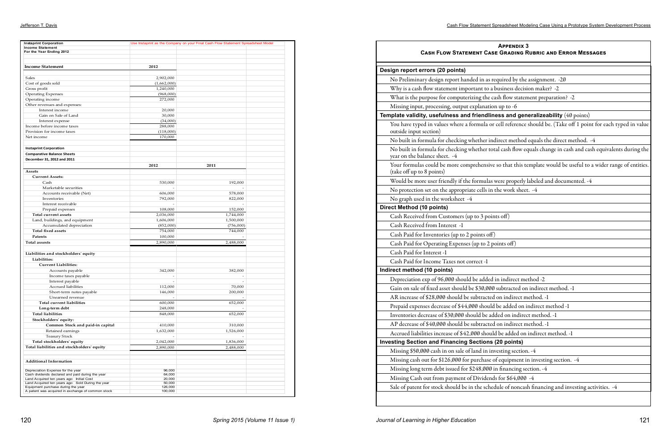Jefferson T. Davis Cash Flow Statement Spreadsheet Modeling Case Using a Prototype System Development Process

ch typed in value nalents during the range of entities.

| <b>Instaprint Corporation</b><br><b>Income Statement</b>                              |                          | Use Instaprint as the Company on your Final Cash Flow Statement Spreadsheet Model |  |
|---------------------------------------------------------------------------------------|--------------------------|-----------------------------------------------------------------------------------|--|
| For the Year Ending 2012                                                              |                          |                                                                                   |  |
|                                                                                       |                          |                                                                                   |  |
| <b>Income Statement</b>                                                               | 2012                     |                                                                                   |  |
|                                                                                       |                          |                                                                                   |  |
| Sales                                                                                 | 2,902,000                |                                                                                   |  |
| Cost of goods sold                                                                    | (1,662,000)              |                                                                                   |  |
| Gross profit                                                                          | 1,240,000                |                                                                                   |  |
| <b>Operating Expenses</b>                                                             | (968,000)                |                                                                                   |  |
| Operating income                                                                      | 272,000                  |                                                                                   |  |
| Other revenues and expenses:                                                          |                          |                                                                                   |  |
| Interest income                                                                       | 20,000                   |                                                                                   |  |
| Gain on Sale of Land                                                                  | 30,000                   |                                                                                   |  |
| Interest expense                                                                      | (34,000)                 |                                                                                   |  |
| Income before income taxes                                                            | 288,000                  |                                                                                   |  |
| Provision for income taxes                                                            | (118,000)                |                                                                                   |  |
| Net income                                                                            | 170,000                  |                                                                                   |  |
|                                                                                       |                          |                                                                                   |  |
| <b>Instaprint Corporation</b>                                                         |                          |                                                                                   |  |
|                                                                                       |                          |                                                                                   |  |
| <b>Comparative Balance Sheets</b>                                                     |                          |                                                                                   |  |
| December 31, 2012 and 2011                                                            |                          |                                                                                   |  |
|                                                                                       | 2012                     | 2011                                                                              |  |
| Assets                                                                                |                          |                                                                                   |  |
| <b>Current Assets:</b>                                                                |                          |                                                                                   |  |
| Cash                                                                                  | 530,000                  | 192,000                                                                           |  |
| Marketable securities                                                                 | $\sim$                   | $\sim$                                                                            |  |
| Accounts receivable (Net)                                                             | 606,000                  | 578,000                                                                           |  |
| Inventories                                                                           | 792,000                  | 822,000                                                                           |  |
| Interest receivable                                                                   |                          |                                                                                   |  |
| Prepaid expenses                                                                      | 108,000                  | 152,000                                                                           |  |
| Total current assets                                                                  | 2,036,000                | 1,744,000                                                                         |  |
| Land, buildings, and equipment                                                        | 1,606,000                | 1,500,000                                                                         |  |
| Accumulated depreciation                                                              | (852,000)                | (756,000)                                                                         |  |
| <b>Total fixed assets</b>                                                             | 754,000                  | 744,000                                                                           |  |
| Patents                                                                               | 100,000                  |                                                                                   |  |
| <b>Total assests</b>                                                                  | 2,890,000                | 2,488,000                                                                         |  |
|                                                                                       |                          |                                                                                   |  |
| Liabilities and stockholders' equity                                                  |                          |                                                                                   |  |
| Liabilities:                                                                          |                          |                                                                                   |  |
| <b>Current Liabilities:</b>                                                           |                          |                                                                                   |  |
| Accounts payable                                                                      | 342,000                  | 382,000                                                                           |  |
| Income taxes payable                                                                  | $\overline{\phantom{a}}$ | $\sim$                                                                            |  |
| Interest payable                                                                      | ÷,                       | ä,                                                                                |  |
| Accrued liabilities                                                                   | 112,000                  | 70,000                                                                            |  |
| Short-term notes payable                                                              | 146,000                  | 200,000                                                                           |  |
| Unearned revenue                                                                      |                          | $\overline{\phantom{a}}$                                                          |  |
| <b>Total current liabilities</b>                                                      | 600,000                  | 652,000                                                                           |  |
| Long-term debt                                                                        | 248,000                  |                                                                                   |  |
| <b>Total liabilities</b>                                                              | 848,000                  | 652,000                                                                           |  |
| Stockholders' equity:                                                                 |                          |                                                                                   |  |
| Common Stock and paid-in capital                                                      | 410,000                  | 310,000                                                                           |  |
| Retained earnings                                                                     | 1,632,000                | 1,526,000                                                                         |  |
| <b>Teasury Stock</b>                                                                  |                          |                                                                                   |  |
| Total stockholders' equity                                                            | 2,042,000                | 1,836,000                                                                         |  |
| Total liabilities and stockholders' equity                                            |                          |                                                                                   |  |
|                                                                                       | 2,890,000                | 2,488,000                                                                         |  |
| <b>Additional Information</b>                                                         |                          |                                                                                   |  |
|                                                                                       |                          |                                                                                   |  |
| Depreciation Expense for the year<br>Cash dividends declared and paid during the year | 96,000<br>64,000         |                                                                                   |  |
| Land Acquired ten years ago: Initial Cost                                             | 20,000                   |                                                                                   |  |
| Land Acquired ten years ago: Sold During the year                                     | 50,000                   |                                                                                   |  |
| Equipment purchase during the year                                                    | 126,000                  |                                                                                   |  |

| <b>APPENDIX 3</b><br><b>CASH FLOW STATEMENT CASE GRADING RUBRIC AND ERROR MESSAGES</b>                                             |
|------------------------------------------------------------------------------------------------------------------------------------|
| Design report errors (20 points)                                                                                                   |
| No Preliminary design report handed in as required by the assignment. - 20                                                         |
| Why is a cash flow statement important to a business decision maker? - 2                                                           |
| What is the purpose for computerizing the cash flow statement preparation? -2                                                      |
| Missing input, processing, output explanation up to -6                                                                             |
| Template validity, usefulness and friendliness and generalizeability (40 points)                                                   |
| You have typed in values where a formula or cell reference should be. (Take off 1 point for each t<br>outside input section)       |
| No built in formula for checking whether indirect method equals the direct method. -4                                              |
| No built in formula for checking whether total cash flow equals change in cash and cash equivaler<br>year on the balance sheet. -4 |
| Your formulas could be more comprehensive so that this template would be useful to a wider ran<br>(take off up to 8 points)        |
| Would be more user friendly if the formulas were properly labeled and documented. -4                                               |
| No protection set on the appropriate cells in the work sheet. -4                                                                   |
| No graph used in the worksheet -4                                                                                                  |
| <b>Direct Method (10 points)</b>                                                                                                   |
| Cash Received from Customers (up to 3 points off)                                                                                  |
| Cash Received from Interest -1                                                                                                     |
| Cash Paid for Inventories (up to 2 points off)                                                                                     |
| Cash Paid for Operating Expenses (up to 2 points off)                                                                              |
| Cash Paid for Interest -1                                                                                                          |
| Cash Paid for Income Taxes not correct -1                                                                                          |
| Indirect method (10 points)                                                                                                        |
| Depreciation exp of 96,000 should be added in indirect method -2                                                                   |
| Gain on sale of fixed asset should be \$30,000 subtracted on indirect method. -1                                                   |
| AR increase of \$28,000 should be subtracted on indirect method. -1                                                                |
| Prepaid expenses decrease of \$44,000 should be added on indirect method -1                                                        |
| Inventories decrease of \$30,000 should be added on indirect method. -1                                                            |
| AP decrease of \$40,000 should be subtracted on indirect method. -1                                                                |
| Accrued liabilities increase of \$42,000 should be added on indirect method. -1                                                    |
| <b>Investing Section and Financing Sections (20 points)</b>                                                                        |
| Missing \$50,000 cash in on sale of land in investing section. -4                                                                  |
| Missing cash out for \$126,000 for purchase of equipment in investing section. -4                                                  |
| Missing long term debt issued for \$248,000 in financing section. -4                                                               |
| Missing Cash out from payment of Dividends for \$64,000 -4                                                                         |
| Sale of patent for stock should be in the schedule of noncash financing and investing activities. -4                               |